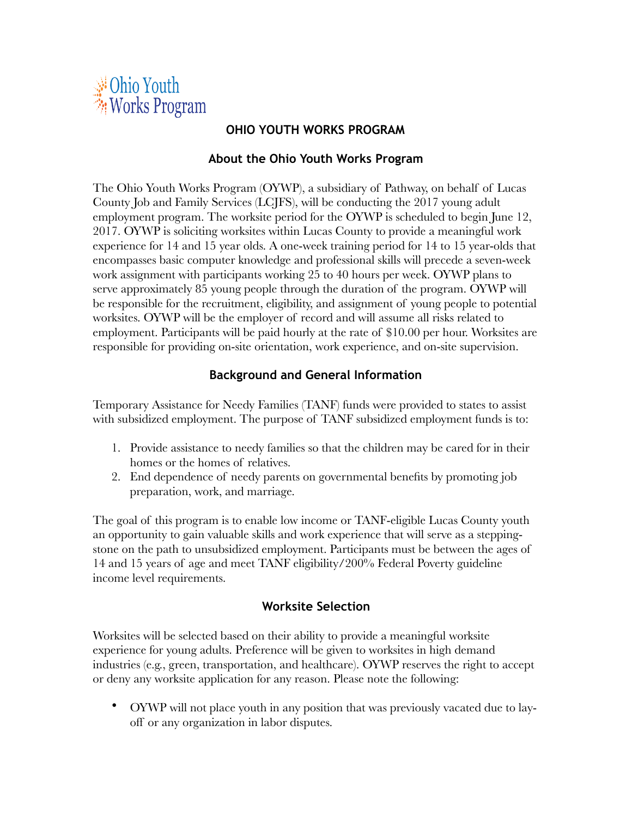

### **OHIO YOUTH WORKS PROGRAM**

### **About the Ohio Youth Works Program**

The Ohio Youth Works Program (OYWP), a subsidiary of Pathway, on behalf of Lucas County Job and Family Services (LCJFS), will be conducting the 2017 young adult employment program. The worksite period for the OYWP is scheduled to begin June 12, 2017. OYWP is soliciting worksites within Lucas County to provide a meaningful work experience for 14 and 15 year olds. A one-week training period for 14 to 15 year-olds that encompasses basic computer knowledge and professional skills will precede a seven-week work assignment with participants working 25 to 40 hours per week. OYWP plans to serve approximately 85 young people through the duration of the program. OYWP will be responsible for the recruitment, eligibility, and assignment of young people to potential worksites. OYWP will be the employer of record and will assume all risks related to employment. Participants will be paid hourly at the rate of \$10.00 per hour. Worksites are responsible for providing on-site orientation, work experience, and on-site supervision.

## **Background and General Information**

Temporary Assistance for Needy Families (TANF) funds were provided to states to assist with subsidized employment. The purpose of TANF subsidized employment funds is to:

- 1. Provide assistance to needy families so that the children may be cared for in their homes or the homes of relatives.
- 2. End dependence of needy parents on governmental benefits by promoting job preparation, work, and marriage.

The goal of this program is to enable low income or TANF-eligible Lucas County youth an opportunity to gain valuable skills and work experience that will serve as a steppingstone on the path to unsubsidized employment. Participants must be between the ages of 14 and 15 years of age and meet TANF eligibility/200% Federal Poverty guideline income level requirements.

## **Worksite Selection**

Worksites will be selected based on their ability to provide a meaningful worksite experience for young adults. Preference will be given to worksites in high demand industries (e.g., green, transportation, and healthcare). OYWP reserves the right to accept or deny any worksite application for any reason. Please note the following:

• OYWP will not place youth in any position that was previously vacated due to layoff or any organization in labor disputes.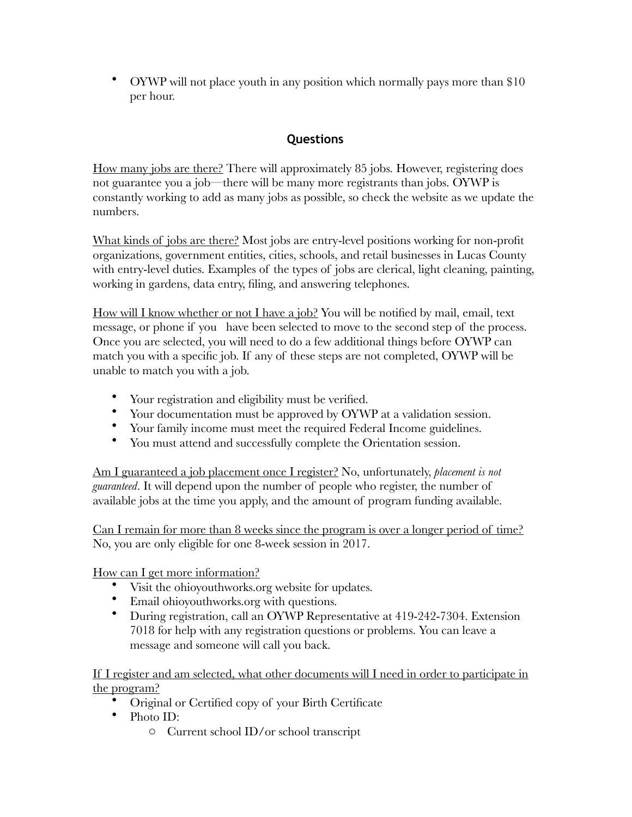• OYWP will not place youth in any position which normally pays more than \$10 per hour.

# **Questions**

How many jobs are there? There will approximately 85 jobs. However, registering does not guarantee you a job—there will be many more registrants than jobs. OYWP is constantly working to add as many jobs as possible, so check the website as we update the numbers.

What kinds of jobs are there? Most jobs are entry-level positions working for non-profit organizations, government entities, cities, schools, and retail businesses in Lucas County with entry-level duties. Examples of the types of jobs are clerical, light cleaning, painting, working in gardens, data entry, filing, and answering telephones.

How will I know whether or not I have a job? You will be notified by mail, email, text message, or phone if you have been selected to move to the second step of the process. Once you are selected, you will need to do a few additional things before OYWP can match you with a specific job. If any of these steps are not completed, OYWP will be unable to match you with a job.

- Your registration and eligibility must be verified.
- Your documentation must be approved by OYWP at a validation session.
- Your family income must meet the required Federal Income guidelines.
- You must attend and successfully complete the Orientation session.

Am I guaranteed a job placement once I register? No, unfortunately, *placement is not guaranteed*. It will depend upon the number of people who register, the number of available jobs at the time you apply, and the amount of program funding available.

Can I remain for more than 8 weeks since the program is over a longer period of time? No, you are only eligible for one 8-week session in 2017.

How can I get more information?

- Visit the ohioyouthworks.org website for updates.
- Email ohioyouthworks.org with questions.
- During registration, call an OYWP Representative at 419-242-7304. Extension 7018 for help with any registration questions or problems. You can leave a message and someone will call you back.

If I register and am selected, what other documents will I need in order to participate in the program?

- Original or Certified copy of your Birth Certificate
- Photo ID:
	- o Current school ID/or school transcript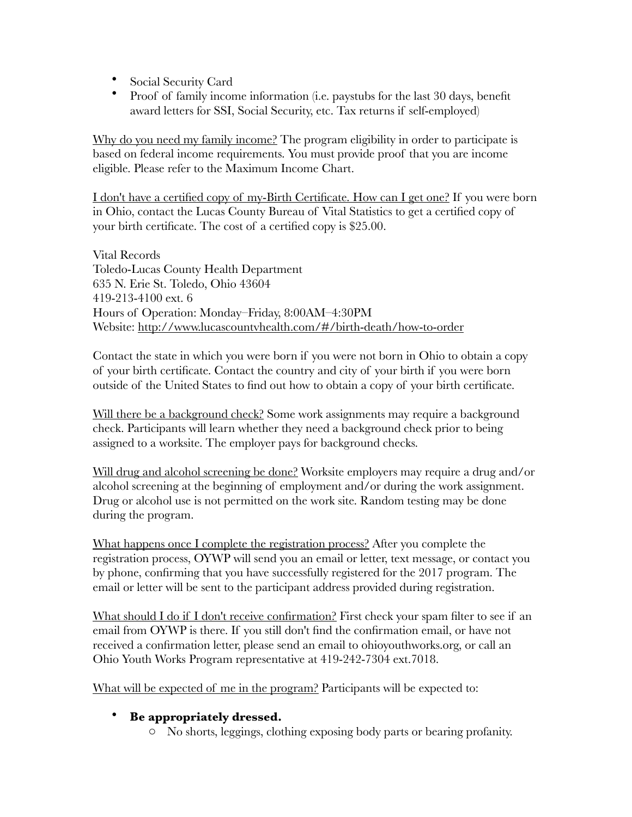- Social Security Card
- Proof of family income information (i.e. paystubs for the last 30 days, benefit award letters for SSI, Social Security, etc. Tax returns if self-employed)

Why do you need my family income? The program eligibility in order to participate is based on federal income requirements. You must provide proof that you are income eligible. Please refer to the Maximum Income Chart.

I don't have a certified copy of my-Birth Certificate. How can I get one? If you were born in Ohio, contact the Lucas County Bureau of Vital Statistics to get a certified copy of your birth certificate. The cost of a certified copy is \$25.00.

Vital Records Toledo-Lucas County Health Department 635 N. Erie St. Toledo, Ohio 43604 419-213-4100 ext. 6 Hours of Operation: Monday–Friday, 8:00AM–4:30PM Website: http://www.lucascountvhealth.com/#/birth-death/how-to-order

Contact the state in which you were born if you were not born in Ohio to obtain a copy of your birth certificate. Contact the country and city of your birth if you were born outside of the United States to find out how to obtain a copy of your birth certificate.

Will there be a background check? Some work assignments may require a background check. Participants will learn whether they need a background check prior to being assigned to a worksite. The employer pays for background checks.

Will drug and alcohol screening be done? Worksite employers may require a drug and/or alcohol screening at the beginning of employment and/or during the work assignment. Drug or alcohol use is not permitted on the work site. Random testing may be done during the program.

What happens once I complete the registration process? After you complete the registration process, OYWP will send you an email or letter, text message, or contact you by phone, confirming that you have successfully registered for the 2017 program. The email or letter will be sent to the participant address provided during registration.

What should I do if I don't receive confirmation? First check your spam filter to see if an email from OYWP is there. If you still don't find the confirmation email, or have not received a confirmation letter, please send an email to ohioyouthworks.org, or call an Ohio Youth Works Program representative at 419-242-7304 ext.7018.

What will be expected of me in the program? Participants will be expected to:

## • **Be appropriately dressed.**

o No shorts, leggings, clothing exposing body parts or bearing profanity.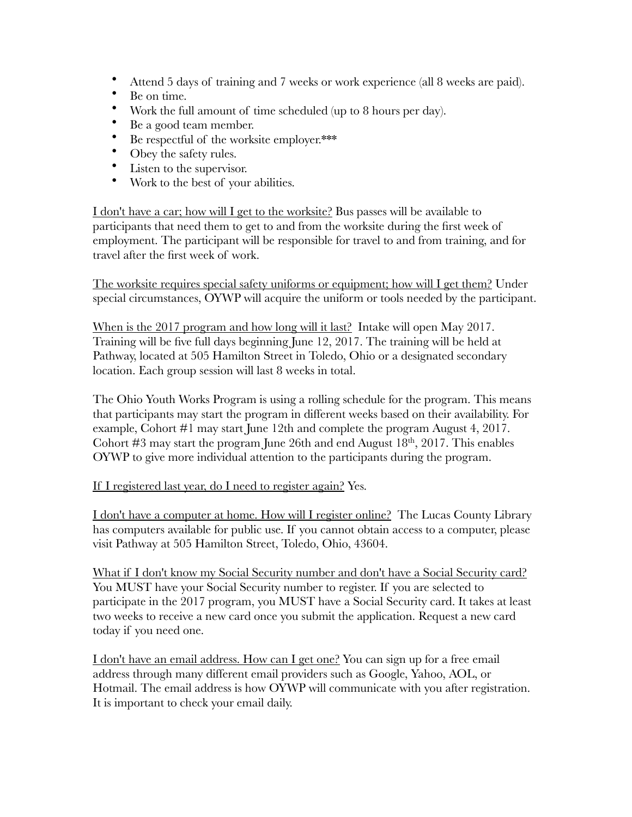- Attend 5 days of training and 7 weeks or work experience (all 8 weeks are paid).<br>• Be on time
- Be on time.
- Work the full amount of time scheduled (up to 8 hours per day).<br>• Regard team member
- Be a good team member.<br>• Be respectful of the works
- Be respectful of the worksite employer.\*\*\*<br>• Obey the safety rules
- Obey the safety rules.
- Listen to the supervisor.
- Work to the best of your abilities.

I don't have a car; how will I get to the worksite? Bus passes will be available to participants that need them to get to and from the worksite during the first week of employment. The participant will be responsible for travel to and from training, and for travel after the first week of work.

The worksite requires special safety uniforms or equipment; how will I get them? Under special circumstances, OYWP will acquire the uniform or tools needed by the participant.

When is the 2017 program and how long will it last? Intake will open May 2017. Training will be five full days beginning June 12, 2017. The training will be held at Pathway, located at 505 Hamilton Street in Toledo, Ohio or a designated secondary location. Each group session will last 8 weeks in total.

The Ohio Youth Works Program is using a rolling schedule for the program. This means that participants may start the program in different weeks based on their availability. For example, Cohort #1 may start June 12th and complete the program August 4, 2017. Cohort  $\#3$  may start the program June 26th and end August  $18<sup>th</sup>$ , 2017. This enables OYWP to give more individual attention to the participants during the program.

#### If I registered last year, do I need to register again? Yes.

I don't have a computer at home. How will I register online? The Lucas County Library has computers available for public use. If you cannot obtain access to a computer, please visit Pathway at 505 Hamilton Street, Toledo, Ohio, 43604.

What if I don't know my Social Security number and don't have a Social Security card? You MUST have your Social Security number to register. If you are selected to participate in the 2017 program, you MUST have a Social Security card. It takes at least two weeks to receive a new card once you submit the application. Request a new card today if you need one.

I don't have an email address. How can I get one? You can sign up for a free email address through many different email providers such as Google, Yahoo, AOL, or Hotmail. The email address is how OYWP will communicate with you after registration. It is important to check your email daily.